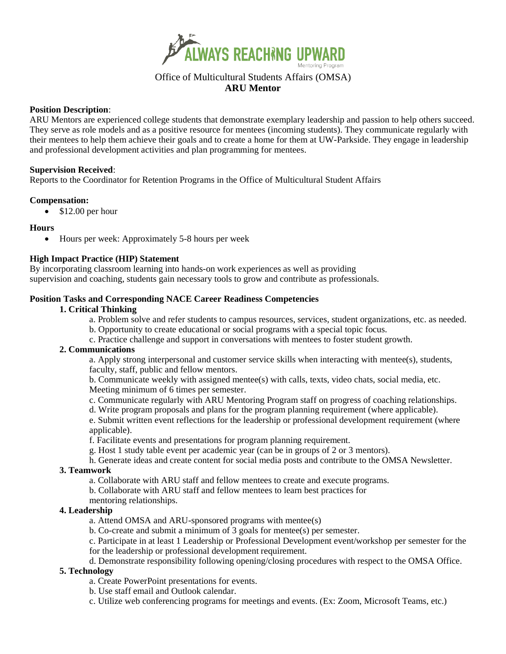

# Office of Multicultural Students Affairs (OMSA) **ARU Mentor**

### **Position Description**:

ARU Mentors are experienced college students that demonstrate exemplary leadership and passion to help others succeed. They serve as role models and as a positive resource for mentees (incoming students). They communicate regularly with their mentees to help them achieve their goals and to create a home for them at UW-Parkside. They engage in leadership and professional development activities and plan programming for mentees.

#### **Supervision Received**:

Reports to the Coordinator for Retention Programs in the Office of Multicultural Student Affairs

#### **Compensation:**

• \$12.00 per hour

#### **Hours**

• Hours per week: Approximately 5-8 hours per week

# **High Impact Practice (HIP) Statement**

By incorporating classroom learning into hands-on work experiences as well as providing supervision and coaching, students gain necessary tools to grow and contribute as professionals.

# **Position Tasks and Corresponding NACE Career Readiness Competencies**

# **1. Critical Thinking**

- a. Problem solve and refer students to campus resources, services, student organizations, etc. as needed.
- b. Opportunity to create educational or social programs with a special topic focus.
- c. Practice challenge and support in conversations with mentees to foster student growth.

#### **2. Communications**

a. Apply strong interpersonal and customer service skills when interacting with mentee(s), students, faculty, staff, public and fellow mentors.

b. Communicate weekly with assigned mentee(s) with calls, texts, video chats, social media, etc. Meeting minimum of 6 times per semester.

- c. Communicate regularly with ARU Mentoring Program staff on progress of coaching relationships.
- d. Write program proposals and plans for the program planning requirement (where applicable).

e. Submit written event reflections for the leadership or professional development requirement (where applicable).

f. Facilitate events and presentations for program planning requirement.

- g. Host 1 study table event per academic year (can be in groups of 2 or 3 mentors).
- h. Generate ideas and create content for social media posts and contribute to the OMSA Newsletter.

#### **3. Teamwork**

- a. Collaborate with ARU staff and fellow mentees to create and execute programs.
- b. Collaborate with ARU staff and fellow mentees to learn best practices for
- mentoring relationships.

### **4. Leadership**

- a. Attend OMSA and ARU-sponsored programs with mentee(s)
- b. Co-create and submit a minimum of 3 goals for mentee(s) per semester.
- c. Participate in at least 1 Leadership or Professional Development event/workshop per semester for the for the leadership or professional development requirement.

d. Demonstrate responsibility following opening/closing procedures with respect to the OMSA Office.

#### **5. Technology**

- a. Create PowerPoint presentations for events.
- b. Use staff email and Outlook calendar.

c. Utilize web conferencing programs for meetings and events. (Ex: Zoom, Microsoft Teams, etc.)